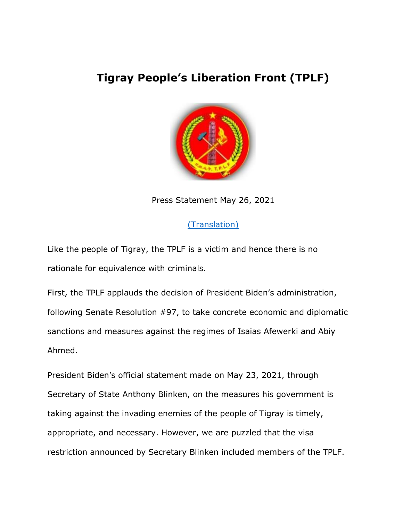## **Tigray People's Liberation Front (TPLF)**



Press Statement May 26, 2021

## [\(Translation\)](https://fb.watch/5KfseoatUc/)

Like the people of Tigray, the TPLF is a victim and hence there is no rationale for equivalence with criminals.

First, the TPLF applauds the decision of President Biden's administration, following Senate Resolution #97, to take concrete economic and diplomatic sanctions and measures against the regimes of Isaias Afewerki and Abiy Ahmed.

President Biden's official statement made on May 23, 2021, through Secretary of State Anthony Blinken, on the measures his government is taking against the invading enemies of the people of Tigray is timely, appropriate, and necessary. However, we are puzzled that the visa restriction announced by Secretary Blinken included members of the TPLF.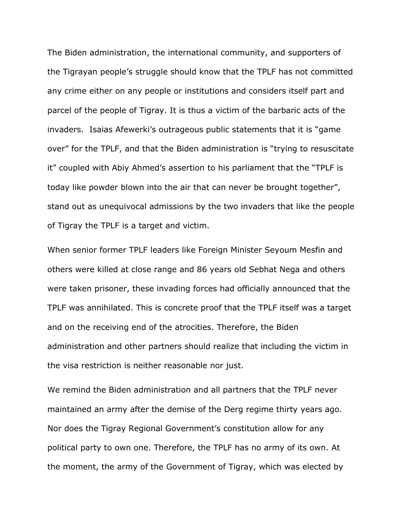The Biden administration, the international community, and supporters of the Tigrayan people's struggle should know that the TPLF has not committed any crime either on any people or institutions and considers itself part and parcel of the people of Tigray. It is thus a victim of the barbaric acts of the invaders. Isaias Afewerki's outrageous public statements that it is "game over" for the TPLF, and that the Biden administration is "trying to resuscitate it" coupled with Abiy Ahmed's assertion to his parliament that the "TPLF is today like powder blown into the air that can never be brought together", stand out as unequivocal admissions by the two invaders that like the people of Tigray the TPLF is a target and victim.

When senior former TPLF leaders like Foreign Minister Seyoum Mesfin and others were killed at close range and 86 years old Sebhat Nega and others were taken prisoner, these invading forces had officially announced that the TPLF was annihilated. This is concrete proof that the TPLF itself was a target and on the receiving end of the atrocities. Therefore, the Biden administration and other partners should realize that including the victim in the visa restriction is neither reasonable nor just.

We remind the Biden administration and all partners that the TPLF never maintained an army after the demise of the Derg regime thirty years ago. Nor does the Tigray Regional Government's constitution allow for any political party to own one. Therefore, the TPLF has no army of its own. At the moment, the army of the Government of Tigray, which was elected by